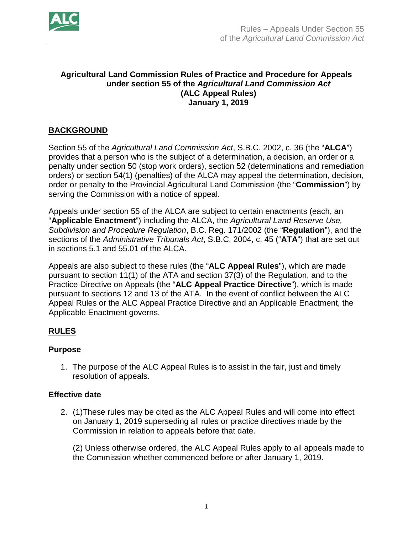

## **Agricultural Land Commission Rules of Practice and Procedure for Appeals under section 55 of the** *Agricultural Land Commission Act* **(ALC Appeal Rules) January 1, 2019**

# **BACKGROUND**

Section 55 of the *Agricultural Land Commission Act*, S.B.C. 2002, c. 36 (the "**ALCA**") provides that a person who is the subject of a determination, a decision, an order or a penalty under section 50 (stop work orders), section 52 (determinations and remediation orders) or section 54(1) (penalties) of the ALCA may appeal the determination, decision, order or penalty to the Provincial Agricultural Land Commission (the "**Commission**") by serving the Commission with a notice of appeal.

Appeals under section 55 of the ALCA are subject to certain enactments (each, an "**Applicable Enactment**") including the ALCA, the *Agricultural Land Reserve Use, Subdivision and Procedure Regulation*, B.C. Reg. 171/2002 (the "**Regulation**"), and the sections of the *Administrative Tribunals Act*, S.B.C. 2004, c. 45 ("**ATA**") that are set out in sections 5.1 and 55.01 of the ALCA.

Appeals are also subject to these rules (the "**ALC Appeal Rules**"), which are made pursuant to section 11(1) of the ATA and section 37(3) of the Regulation, and to the Practice Directive on Appeals (the "**ALC Appeal Practice Directive**"), which is made pursuant to sections 12 and 13 of the ATA. In the event of conflict between the ALC Appeal Rules or the ALC Appeal Practice Directive and an Applicable Enactment, the Applicable Enactment governs.

# **RULES**

## **Purpose**

1. The purpose of the ALC Appeal Rules is to assist in the fair, just and timely resolution of appeals.

## **Effective date**

2. (1)These rules may be cited as the ALC Appeal Rules and will come into effect on January 1, 2019 superseding all rules or practice directives made by the Commission in relation to appeals before that date.

(2) Unless otherwise ordered, the ALC Appeal Rules apply to all appeals made to the Commission whether commenced before or after January 1, 2019.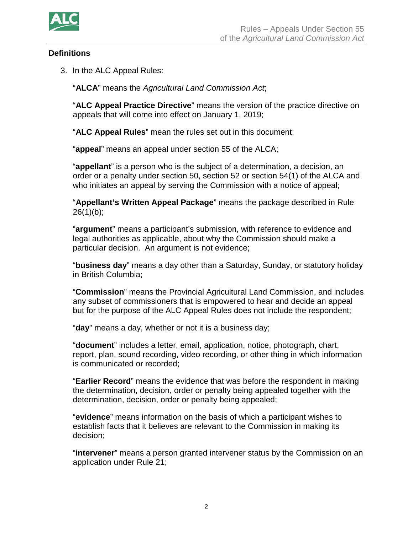

## **Definitions**

3. In the ALC Appeal Rules:

"**ALCA**" means the *Agricultural Land Commission Act*;

"**ALC Appeal Practice Directive**" means the version of the practice directive on appeals that will come into effect on January 1, 2019;

"**ALC Appeal Rules**" mean the rules set out in this document;

"**appeal**" means an appeal under section 55 of the ALCA;

"**appellant**" is a person who is the subject of a determination, a decision, an order or a penalty under section 50, section 52 or section 54(1) of the ALCA and who initiates an appeal by serving the Commission with a notice of appeal;

"**Appellant's Written Appeal Package**" means the package described in Rule  $26(1)(b)$ ;

"**argument**" means a participant's submission, with reference to evidence and legal authorities as applicable, about why the Commission should make a particular decision. An argument is not evidence;

"**business day**" means a day other than a Saturday, Sunday, or statutory holiday in British Columbia;

"**Commission**" means the Provincial Agricultural Land Commission, and includes any subset of commissioners that is empowered to hear and decide an appeal but for the purpose of the ALC Appeal Rules does not include the respondent;

"**day**" means a day, whether or not it is a business day;

"**document**" includes a letter, email, application, notice, photograph, chart, report, plan, sound recording, video recording, or other thing in which information is communicated or recorded;

"**Earlier Record**" means the evidence that was before the respondent in making the determination, decision, order or penalty being appealed together with the determination, decision, order or penalty being appealed;

"**evidence**" means information on the basis of which a participant wishes to establish facts that it believes are relevant to the Commission in making its decision;

"**intervener**" means a person granted intervener status by the Commission on an application under Rule 21;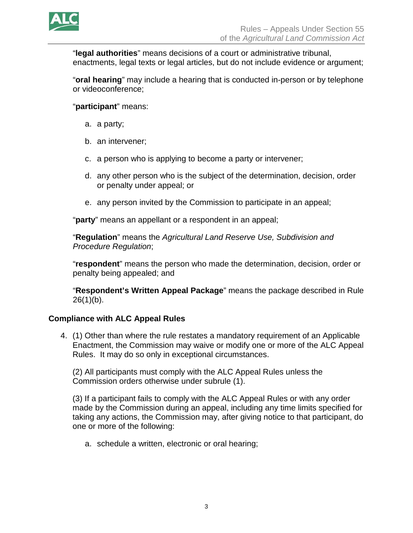

"**legal authorities**" means decisions of a court or administrative tribunal, enactments, legal texts or legal articles, but do not include evidence or argument;

"**oral hearing**" may include a hearing that is conducted in-person or by telephone or videoconference;

"**participant**" means:

- a. a party;
- b. an intervener;
- c. a person who is applying to become a party or intervener;
- d. any other person who is the subject of the determination, decision, order or penalty under appeal; or
- e. any person invited by the Commission to participate in an appeal;

"**party**" means an appellant or a respondent in an appeal;

"**Regulation**" means the *Agricultural Land Reserve Use, Subdivision and Procedure Regulation*;

"**respondent**" means the person who made the determination, decision, order or penalty being appealed; and

"**Respondent's Written Appeal Package**" means the package described in Rule  $26(1)(b)$ .

## **Compliance with ALC Appeal Rules**

4. (1) Other than where the rule restates a mandatory requirement of an Applicable Enactment, the Commission may waive or modify one or more of the ALC Appeal Rules. It may do so only in exceptional circumstances.

(2) All participants must comply with the ALC Appeal Rules unless the Commission orders otherwise under subrule (1).

(3) If a participant fails to comply with the ALC Appeal Rules or with any order made by the Commission during an appeal, including any time limits specified for taking any actions, the Commission may, after giving notice to that participant, do one or more of the following:

a. schedule a written, electronic or oral hearing;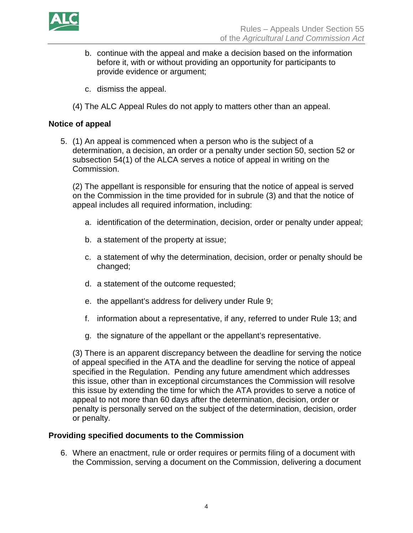

- b. continue with the appeal and make a decision based on the information before it, with or without providing an opportunity for participants to provide evidence or argument;
- c. dismiss the appeal.
- (4) The ALC Appeal Rules do not apply to matters other than an appeal.

## **Notice of appeal**

5. (1) An appeal is commenced when a person who is the subject of a determination, a decision, an order or a penalty under section 50, section 52 or subsection 54(1) of the ALCA serves a notice of appeal in writing on the Commission.

(2) The appellant is responsible for ensuring that the notice of appeal is served on the Commission in the time provided for in subrule (3) and that the notice of appeal includes all required information, including:

- a. identification of the determination, decision, order or penalty under appeal;
- b. a statement of the property at issue;
- c. a statement of why the determination, decision, order or penalty should be changed;
- d. a statement of the outcome requested;
- e. the appellant's address for delivery under Rule 9;
- f. information about a representative, if any, referred to under Rule 13; and
- g. the signature of the appellant or the appellant's representative.

(3) There is an apparent discrepancy between the deadline for serving the notice of appeal specified in the ATA and the deadline for serving the notice of appeal specified in the Regulation. Pending any future amendment which addresses this issue, other than in exceptional circumstances the Commission will resolve this issue by extending the time for which the ATA provides to serve a notice of appeal to not more than 60 days after the determination, decision, order or penalty is personally served on the subject of the determination, decision, order or penalty.

## **Providing specified documents to the Commission**

6. Where an enactment, rule or order requires or permits filing of a document with the Commission, serving a document on the Commission, delivering a document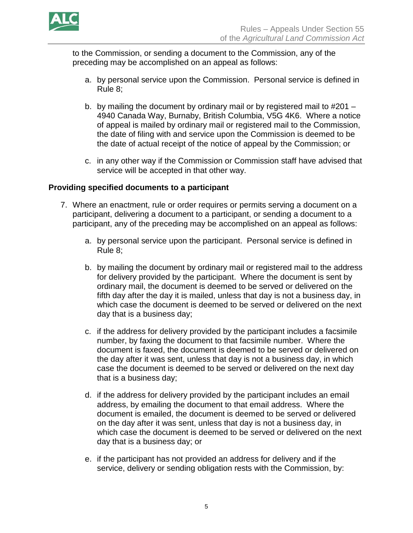

to the Commission, or sending a document to the Commission, any of the preceding may be accomplished on an appeal as follows:

- a. by personal service upon the Commission. Personal service is defined in Rule 8;
- b. by mailing the document by ordinary mail or by registered mail to #201 4940 Canada Way, Burnaby, British Columbia, V5G 4K6. Where a notice of appeal is mailed by ordinary mail or registered mail to the Commission, the date of filing with and service upon the Commission is deemed to be the date of actual receipt of the notice of appeal by the Commission; or
- c. in any other way if the Commission or Commission staff have advised that service will be accepted in that other way.

## **Providing specified documents to a participant**

- 7. Where an enactment, rule or order requires or permits serving a document on a participant, delivering a document to a participant, or sending a document to a participant, any of the preceding may be accomplished on an appeal as follows:
	- a. by personal service upon the participant. Personal service is defined in Rule 8;
	- b. by mailing the document by ordinary mail or registered mail to the address for delivery provided by the participant. Where the document is sent by ordinary mail, the document is deemed to be served or delivered on the fifth day after the day it is mailed, unless that day is not a business day, in which case the document is deemed to be served or delivered on the next day that is a business day;
	- c. if the address for delivery provided by the participant includes a facsimile number, by faxing the document to that facsimile number. Where the document is faxed, the document is deemed to be served or delivered on the day after it was sent, unless that day is not a business day, in which case the document is deemed to be served or delivered on the next day that is a business day;
	- d. if the address for delivery provided by the participant includes an email address, by emailing the document to that email address. Where the document is emailed, the document is deemed to be served or delivered on the day after it was sent, unless that day is not a business day, in which case the document is deemed to be served or delivered on the next day that is a business day; or
	- e. if the participant has not provided an address for delivery and if the service, delivery or sending obligation rests with the Commission, by: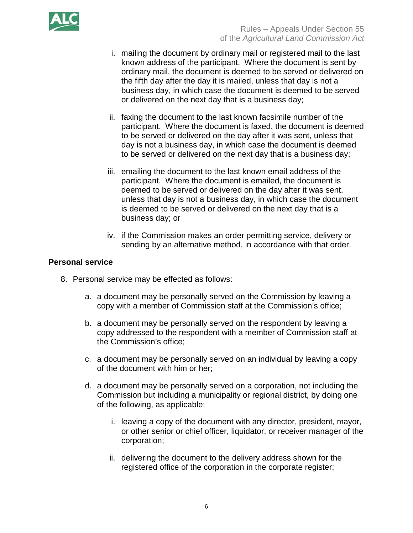

- i. mailing the document by ordinary mail or registered mail to the last known address of the participant. Where the document is sent by ordinary mail, the document is deemed to be served or delivered on the fifth day after the day it is mailed, unless that day is not a business day, in which case the document is deemed to be served or delivered on the next day that is a business day;
- ii. faxing the document to the last known facsimile number of the participant. Where the document is faxed, the document is deemed to be served or delivered on the day after it was sent, unless that day is not a business day, in which case the document is deemed to be served or delivered on the next day that is a business day;
- iii. emailing the document to the last known email address of the participant. Where the document is emailed, the document is deemed to be served or delivered on the day after it was sent, unless that day is not a business day, in which case the document is deemed to be served or delivered on the next day that is a business day; or
- iv. if the Commission makes an order permitting service, delivery or sending by an alternative method, in accordance with that order.

## **Personal service**

- 8. Personal service may be effected as follows:
	- a. a document may be personally served on the Commission by leaving a copy with a member of Commission staff at the Commission's office;
	- b. a document may be personally served on the respondent by leaving a copy addressed to the respondent with a member of Commission staff at the Commission's office;
	- c. a document may be personally served on an individual by leaving a copy of the document with him or her;
	- d. a document may be personally served on a corporation, not including the Commission but including a municipality or regional district, by doing one of the following, as applicable:
		- i. leaving a copy of the document with any director, president, mayor, or other senior or chief officer, liquidator, or receiver manager of the corporation;
		- ii. delivering the document to the delivery address shown for the registered office of the corporation in the corporate register;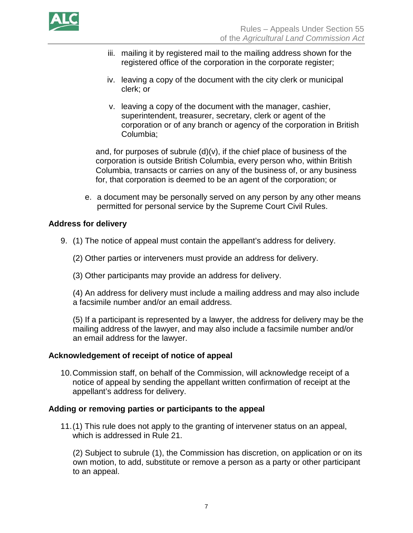

- iii. mailing it by registered mail to the mailing address shown for the registered office of the corporation in the corporate register;
- iv. leaving a copy of the document with the city clerk or municipal clerk; or
- v. leaving a copy of the document with the manager, cashier, superintendent, treasurer, secretary, clerk or agent of the corporation or of any branch or agency of the corporation in British Columbia;

and, for purposes of subrule  $(d)(v)$ , if the chief place of business of the corporation is outside British Columbia, every person who, within British Columbia, transacts or carries on any of the business of, or any business for, that corporation is deemed to be an agent of the corporation; or

e. a document may be personally served on any person by any other means permitted for personal service by the Supreme Court Civil Rules.

## **Address for delivery**

- 9. (1) The notice of appeal must contain the appellant's address for delivery.
	- (2) Other parties or interveners must provide an address for delivery.
	- (3) Other participants may provide an address for delivery.

(4) An address for delivery must include a mailing address and may also include a facsimile number and/or an email address.

(5) If a participant is represented by a lawyer, the address for delivery may be the mailing address of the lawyer, and may also include a facsimile number and/or an email address for the lawyer.

## **Acknowledgement of receipt of notice of appeal**

10.Commission staff, on behalf of the Commission, will acknowledge receipt of a notice of appeal by sending the appellant written confirmation of receipt at the appellant's address for delivery.

## **Adding or removing parties or participants to the appeal**

11.(1) This rule does not apply to the granting of intervener status on an appeal, which is addressed in Rule 21.

(2) Subject to subrule (1), the Commission has discretion, on application or on its own motion, to add, substitute or remove a person as a party or other participant to an appeal.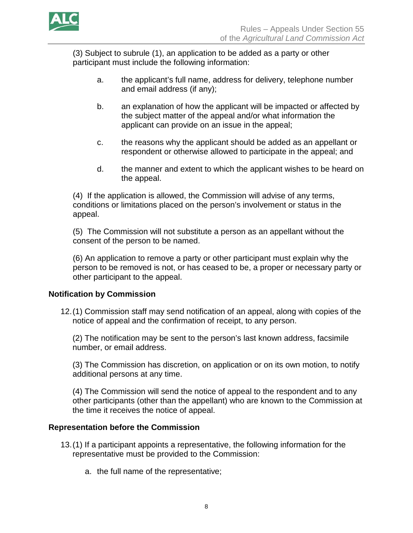

(3) Subject to subrule (1), an application to be added as a party or other participant must include the following information:

- a. the applicant's full name, address for delivery, telephone number and email address (if any);
- b. an explanation of how the applicant will be impacted or affected by the subject matter of the appeal and/or what information the applicant can provide on an issue in the appeal;
- c. the reasons why the applicant should be added as an appellant or respondent or otherwise allowed to participate in the appeal; and
- d. the manner and extent to which the applicant wishes to be heard on the appeal.

(4) If the application is allowed, the Commission will advise of any terms, conditions or limitations placed on the person's involvement or status in the appeal.

(5) The Commission will not substitute a person as an appellant without the consent of the person to be named.

(6) An application to remove a party or other participant must explain why the person to be removed is not, or has ceased to be, a proper or necessary party or other participant to the appeal.

# **Notification by Commission**

12.(1) Commission staff may send notification of an appeal, along with copies of the notice of appeal and the confirmation of receipt, to any person.

(2) The notification may be sent to the person's last known address, facsimile number, or email address.

(3) The Commission has discretion, on application or on its own motion, to notify additional persons at any time.

(4) The Commission will send the notice of appeal to the respondent and to any other participants (other than the appellant) who are known to the Commission at the time it receives the notice of appeal.

## **Representation before the Commission**

- 13.(1) If a participant appoints a representative, the following information for the representative must be provided to the Commission:
	- a. the full name of the representative;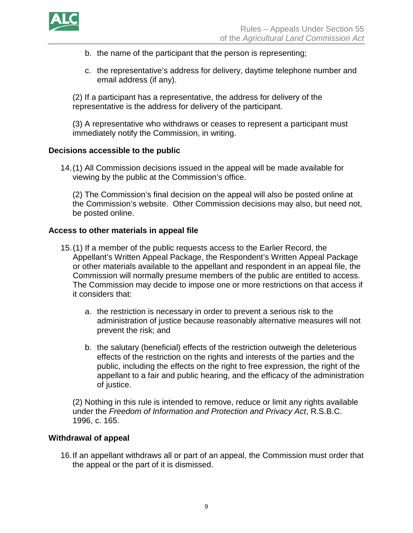

- b. the name of the participant that the person is representing;
- c. the representative's address for delivery, daytime telephone number and email address (if any).

(2) If a participant has a representative, the address for delivery of the representative is the address for delivery of the participant.

(3) A representative who withdraws or ceases to represent a participant must immediately notify the Commission, in writing.

#### **Decisions accessible to the public**

14.(1) All Commission decisions issued in the appeal will be made available for viewing by the public at the Commission's office.

(2) The Commission's final decision on the appeal will also be posted online at the Commission's website. Other Commission decisions may also, but need not, be posted online.

#### **Access to other materials in appeal file**

- 15.(1) If a member of the public requests access to the Earlier Record, the Appellant's Written Appeal Package, the Respondent's Written Appeal Package or other materials available to the appellant and respondent in an appeal file, the Commission will normally presume members of the public are entitled to access. The Commission may decide to impose one or more restrictions on that access if it considers that:
	- a. the restriction is necessary in order to prevent a serious risk to the administration of justice because reasonably alternative measures will not prevent the risk; and
	- b. the salutary (beneficial) effects of the restriction outweigh the deleterious effects of the restriction on the rights and interests of the parties and the public, including the effects on the right to free expression, the right of the appellant to a fair and public hearing, and the efficacy of the administration of justice.

(2) Nothing in this rule is intended to remove, reduce or limit any rights available under the *Freedom of Information and Protection and Privacy Act*, R.S.B.C. 1996, c. 165.

## **Withdrawal of appeal**

16.If an appellant withdraws all or part of an appeal, the Commission must order that the appeal or the part of it is dismissed.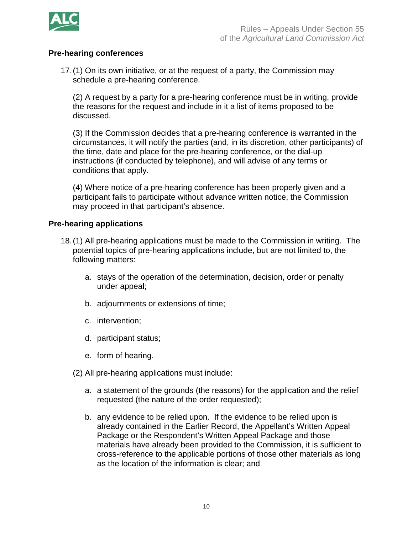

### **Pre-hearing conferences**

17.(1) On its own initiative, or at the request of a party, the Commission may schedule a pre-hearing conference.

(2) A request by a party for a pre-hearing conference must be in writing, provide the reasons for the request and include in it a list of items proposed to be discussed.

(3) If the Commission decides that a pre-hearing conference is warranted in the circumstances, it will notify the parties (and, in its discretion, other participants) of the time, date and place for the pre-hearing conference, or the dial-up instructions (if conducted by telephone), and will advise of any terms or conditions that apply.

(4) Where notice of a pre-hearing conference has been properly given and a participant fails to participate without advance written notice, the Commission may proceed in that participant's absence.

#### **Pre-hearing applications**

- 18.(1) All pre-hearing applications must be made to the Commission in writing. The potential topics of pre-hearing applications include, but are not limited to, the following matters:
	- a. stays of the operation of the determination, decision, order or penalty under appeal;
	- b. adjournments or extensions of time;
	- c. intervention;
	- d. participant status;
	- e. form of hearing.
	- (2) All pre-hearing applications must include:
		- a. a statement of the grounds (the reasons) for the application and the relief requested (the nature of the order requested);
		- b. any evidence to be relied upon. If the evidence to be relied upon is already contained in the Earlier Record, the Appellant's Written Appeal Package or the Respondent's Written Appeal Package and those materials have already been provided to the Commission, it is sufficient to cross-reference to the applicable portions of those other materials as long as the location of the information is clear; and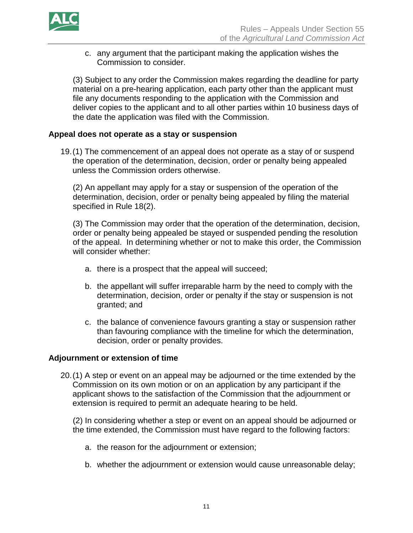

c. any argument that the participant making the application wishes the Commission to consider.

(3) Subject to any order the Commission makes regarding the deadline for party material on a pre-hearing application, each party other than the applicant must file any documents responding to the application with the Commission and deliver copies to the applicant and to all other parties within 10 business days of the date the application was filed with the Commission.

#### **Appeal does not operate as a stay or suspension**

19.(1) The commencement of an appeal does not operate as a stay of or suspend the operation of the determination, decision, order or penalty being appealed unless the Commission orders otherwise.

(2) An appellant may apply for a stay or suspension of the operation of the determination, decision, order or penalty being appealed by filing the material specified in Rule 18(2).

(3) The Commission may order that the operation of the determination, decision, order or penalty being appealed be stayed or suspended pending the resolution of the appeal. In determining whether or not to make this order, the Commission will consider whether:

- a. there is a prospect that the appeal will succeed;
- b. the appellant will suffer irreparable harm by the need to comply with the determination, decision, order or penalty if the stay or suspension is not granted; and
- c. the balance of convenience favours granting a stay or suspension rather than favouring compliance with the timeline for which the determination, decision, order or penalty provides.

#### **Adjournment or extension of time**

20.(1) A step or event on an appeal may be adjourned or the time extended by the Commission on its own motion or on an application by any participant if the applicant shows to the satisfaction of the Commission that the adjournment or extension is required to permit an adequate hearing to be held.

(2) In considering whether a step or event on an appeal should be adjourned or the time extended, the Commission must have regard to the following factors:

- a. the reason for the adjournment or extension;
- b. whether the adjournment or extension would cause unreasonable delay;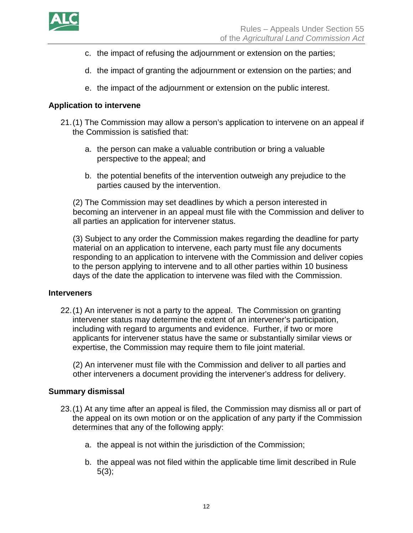

- c. the impact of refusing the adjournment or extension on the parties;
- d. the impact of granting the adjournment or extension on the parties; and
- e. the impact of the adjournment or extension on the public interest.

## **Application to intervene**

- 21.(1) The Commission may allow a person's application to intervene on an appeal if the Commission is satisfied that:
	- a. the person can make a valuable contribution or bring a valuable perspective to the appeal; and
	- b. the potential benefits of the intervention outweigh any prejudice to the parties caused by the intervention.

(2) The Commission may set deadlines by which a person interested in becoming an intervener in an appeal must file with the Commission and deliver to all parties an application for intervener status.

(3) Subject to any order the Commission makes regarding the deadline for party material on an application to intervene, each party must file any documents responding to an application to intervene with the Commission and deliver copies to the person applying to intervene and to all other parties within 10 business days of the date the application to intervene was filed with the Commission.

## **Interveners**

22.(1) An intervener is not a party to the appeal. The Commission on granting intervener status may determine the extent of an intervener's participation, including with regard to arguments and evidence. Further, if two or more applicants for intervener status have the same or substantially similar views or expertise, the Commission may require them to file joint material.

(2) An intervener must file with the Commission and deliver to all parties and other interveners a document providing the intervener's address for delivery.

## **Summary dismissal**

- 23.(1) At any time after an appeal is filed, the Commission may dismiss all or part of the appeal on its own motion or on the application of any party if the Commission determines that any of the following apply:
	- a. the appeal is not within the jurisdiction of the Commission;
	- b. the appeal was not filed within the applicable time limit described in Rule  $5(3);$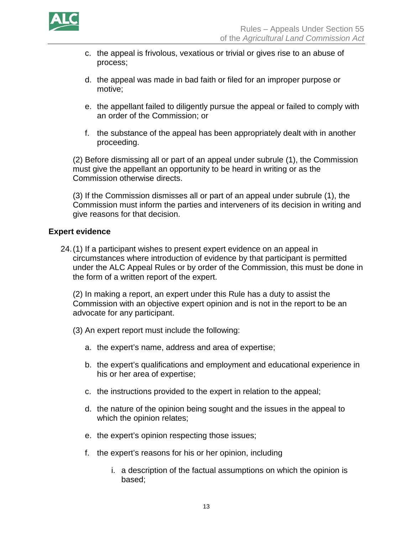

- c. the appeal is frivolous, vexatious or trivial or gives rise to an abuse of process;
- d. the appeal was made in bad faith or filed for an improper purpose or motive;
- e. the appellant failed to diligently pursue the appeal or failed to comply with an order of the Commission; or
- f. the substance of the appeal has been appropriately dealt with in another proceeding.

(2) Before dismissing all or part of an appeal under subrule (1), the Commission must give the appellant an opportunity to be heard in writing or as the Commission otherwise directs.

(3) If the Commission dismisses all or part of an appeal under subrule (1), the Commission must inform the parties and interveners of its decision in writing and give reasons for that decision.

## **Expert evidence**

24.(1) If a participant wishes to present expert evidence on an appeal in circumstances where introduction of evidence by that participant is permitted under the ALC Appeal Rules or by order of the Commission, this must be done in the form of a written report of the expert.

(2) In making a report, an expert under this Rule has a duty to assist the Commission with an objective expert opinion and is not in the report to be an advocate for any participant.

- (3) An expert report must include the following:
	- a. the expert's name, address and area of expertise;
	- b. the expert's qualifications and employment and educational experience in his or her area of expertise;
	- c. the instructions provided to the expert in relation to the appeal;
	- d. the nature of the opinion being sought and the issues in the appeal to which the opinion relates;
	- e. the expert's opinion respecting those issues;
	- f. the expert's reasons for his or her opinion, including
		- i. a description of the factual assumptions on which the opinion is based;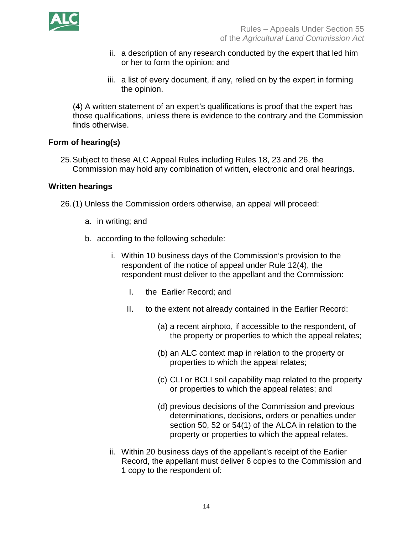

- ii. a description of any research conducted by the expert that led him or her to form the opinion; and
- iii. a list of every document, if any, relied on by the expert in forming the opinion.

(4) A written statement of an expert's qualifications is proof that the expert has those qualifications, unless there is evidence to the contrary and the Commission finds otherwise.

## **Form of hearing(s)**

25.Subject to these ALC Appeal Rules including Rules 18, 23 and 26, the Commission may hold any combination of written, electronic and oral hearings.

## **Written hearings**

26.(1) Unless the Commission orders otherwise, an appeal will proceed:

- a. in writing; and
- b. according to the following schedule:
	- i. Within 10 business days of the Commission's provision to the respondent of the notice of appeal under Rule 12(4), the respondent must deliver to the appellant and the Commission:
		- I. the Earlier Record; and
		- II. to the extent not already contained in the Earlier Record:
			- (a) a recent airphoto, if accessible to the respondent, of the property or properties to which the appeal relates;
			- (b) an ALC context map in relation to the property or properties to which the appeal relates;
			- (c) CLI or BCLI soil capability map related to the property or properties to which the appeal relates; and
			- (d) previous decisions of the Commission and previous determinations, decisions, orders or penalties under section 50, 52 or 54(1) of the ALCA in relation to the property or properties to which the appeal relates.
	- ii. Within 20 business days of the appellant's receipt of the Earlier Record, the appellant must deliver 6 copies to the Commission and 1 copy to the respondent of: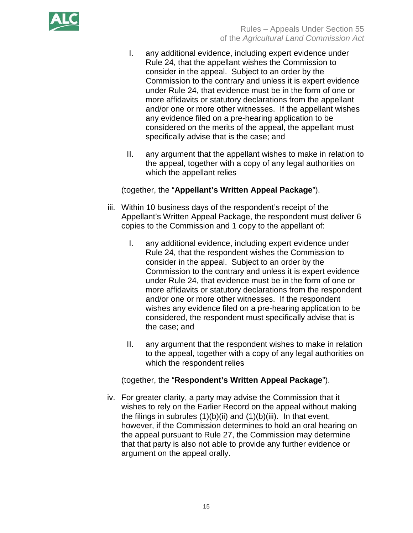

- I. any additional evidence, including expert evidence under Rule 24, that the appellant wishes the Commission to consider in the appeal. Subject to an order by the Commission to the contrary and unless it is expert evidence under Rule 24, that evidence must be in the form of one or more affidavits or statutory declarations from the appellant and/or one or more other witnesses. If the appellant wishes any evidence filed on a pre-hearing application to be considered on the merits of the appeal, the appellant must specifically advise that is the case; and
- II. any argument that the appellant wishes to make in relation to the appeal, together with a copy of any legal authorities on which the appellant relies

## (together, the "**Appellant's Written Appeal Package**").

- iii. Within 10 business days of the respondent's receipt of the Appellant's Written Appeal Package, the respondent must deliver 6 copies to the Commission and 1 copy to the appellant of:
	- I. any additional evidence, including expert evidence under Rule 24, that the respondent wishes the Commission to consider in the appeal. Subject to an order by the Commission to the contrary and unless it is expert evidence under Rule 24, that evidence must be in the form of one or more affidavits or statutory declarations from the respondent and/or one or more other witnesses. If the respondent wishes any evidence filed on a pre-hearing application to be considered, the respondent must specifically advise that is the case; and
	- II. any argument that the respondent wishes to make in relation to the appeal, together with a copy of any legal authorities on which the respondent relies

## (together, the "**Respondent's Written Appeal Package**").

iv. For greater clarity, a party may advise the Commission that it wishes to rely on the Earlier Record on the appeal without making the filings in subrules  $(1)(b)(ii)$  and  $(1)(b)(iii)$ . In that event, however, if the Commission determines to hold an oral hearing on the appeal pursuant to Rule 27, the Commission may determine that that party is also not able to provide any further evidence or argument on the appeal orally.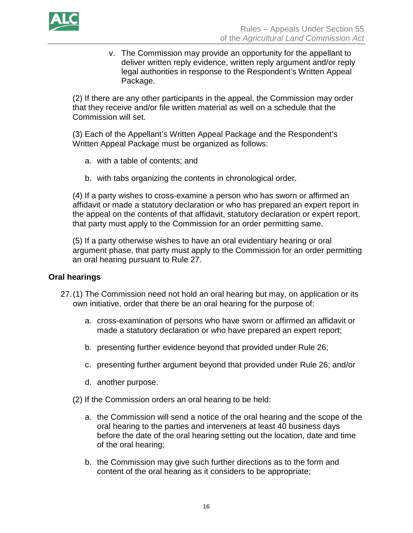

v. The Commission may provide an opportunity for the appellant to deliver written reply evidence, written reply argument and/or reply legal authorities in response to the Respondent's Written Appeal Package.

(2) If there are any other participants in the appeal, the Commission may order that they receive and/or file written material as well on a schedule that the Commission will set.

(3) Each of the Appellant's Written Appeal Package and the Respondent's Written Appeal Package must be organized as follows:

- a. with a table of contents; and
- b. with tabs organizing the contents in chronological order.

(4) If a party wishes to cross-examine a person who has sworn or affirmed an affidavit or made a statutory declaration or who has prepared an expert report in the appeal on the contents of that affidavit, statutory declaration or expert report, that party must apply to the Commission for an order permitting same.

(5) If a party otherwise wishes to have an oral evidentiary hearing or oral argument phase, that party must apply to the Commission for an order permitting an oral hearing pursuant to Rule 27.

#### **Oral hearings**

- 27.(1) The Commission need not hold an oral hearing but may, on application or its own initiative, order that there be an oral hearing for the purpose of:
	- a. cross-examination of persons who have sworn or affirmed an affidavit or made a statutory declaration or who have prepared an expert report;
	- b. presenting further evidence beyond that provided under Rule 26;
	- c. presenting further argument beyond that provided under Rule 26; and/or
	- d. another purpose.
	- (2) If the Commission orders an oral hearing to be held:
		- a. the Commission will send a notice of the oral hearing and the scope of the oral hearing to the parties and interveners at least 40 business days before the date of the oral hearing setting out the location, date and time of the oral hearing;
		- b. the Commission may give such further directions as to the form and content of the oral hearing as it considers to be appropriate;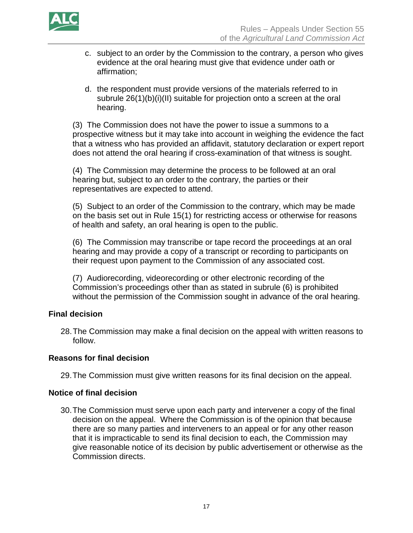

- c. subject to an order by the Commission to the contrary, a person who gives evidence at the oral hearing must give that evidence under oath or affirmation;
- d. the respondent must provide versions of the materials referred to in subrule 26(1)(b)(i)(II) suitable for projection onto a screen at the oral hearing.

(3) The Commission does not have the power to issue a summons to a prospective witness but it may take into account in weighing the evidence the fact that a witness who has provided an affidavit, statutory declaration or expert report does not attend the oral hearing if cross-examination of that witness is sought.

(4) The Commission may determine the process to be followed at an oral hearing but, subject to an order to the contrary, the parties or their representatives are expected to attend.

(5) Subject to an order of the Commission to the contrary, which may be made on the basis set out in Rule 15(1) for restricting access or otherwise for reasons of health and safety, an oral hearing is open to the public.

(6) The Commission may transcribe or tape record the proceedings at an oral hearing and may provide a copy of a transcript or recording to participants on their request upon payment to the Commission of any associated cost.

(7) Audiorecording, videorecording or other electronic recording of the Commission's proceedings other than as stated in subrule (6) is prohibited without the permission of the Commission sought in advance of the oral hearing.

# **Final decision**

28.The Commission may make a final decision on the appeal with written reasons to follow.

# **Reasons for final decision**

29.The Commission must give written reasons for its final decision on the appeal.

## **Notice of final decision**

30.The Commission must serve upon each party and intervener a copy of the final decision on the appeal. Where the Commission is of the opinion that because there are so many parties and interveners to an appeal or for any other reason that it is impracticable to send its final decision to each, the Commission may give reasonable notice of its decision by public advertisement or otherwise as the Commission directs.